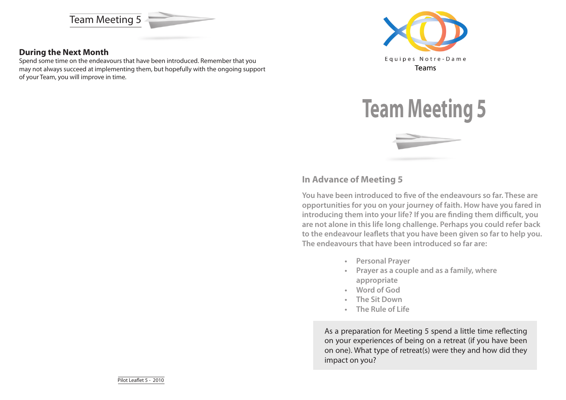

### **During the Next Month**

Spend some time on the endeavours that have been introduced. Remember that you may not always succeed at implementing them, but hopefully with the ongoing support of your Team, you will improve in time.





## **In Advance of Meeting 5**

**You have been introduced to five of the endeavours so far. These are opportunities for you on your journey of faith. How have you fared in introducing them into your life? If you are finding them difficult, you are not alone in this life long challenge. Perhaps you could refer back to the endeavour leaflets that you have been given so far to help you. The endeavours that have been introduced so far are:**

- **• Personal Prayer**
- **• Prayer as a couple and as a family, where appropriate**
- **• Word of God**
- **• The Sit Down**
- **• The Rule of Life**

As a preparation for Meeting 5 spend a little time reflecting on your experiences of being on a retreat (if you have been on one). What type of retreat(s) were they and how did they impact on you?